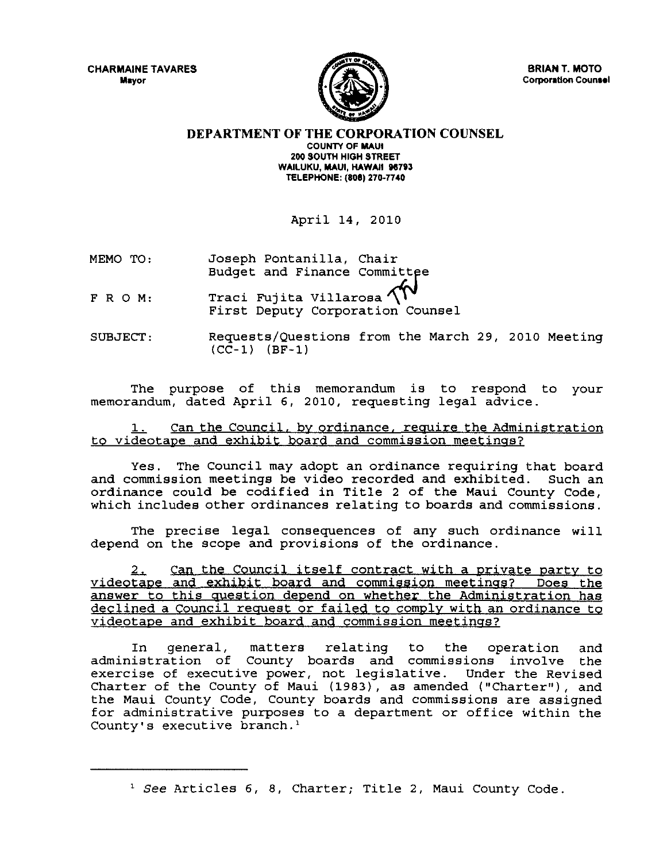CHARMAINE TAVARES Mayor



BRIAN T. MOTO Corporation Counsel

DEPARTMENT OF THE CORPORATION COUNSEL COUNTY OF MAUl 200 SOUTH HIGH STREET WAILUKU. MAUI. HAWAII 96793 TELEPHONE: (808) 270-7740

April 14, 2010

MEMO TO: Joseph Pontanilla, Chair Budget and Finance Committee

FROM: Traci Fujita Villarosa  $\sqrt{V}$ <br>First Deputy Corporation Counsel

SUBJECT: Requests/Questions from the March 29, 2010 Meeting  $(CC-1)$  (BF-1)

The purpose of this memorandum is to respond to your memorandum, dated April 6, 2010, requesting legal advice.

Can the Council, by ordinance, require the Administration to videotape and exhibit board and commission meetings?

Yes. The Council may adopt an ordinance requiring that board<br>commission meetings be video recorded and exhibited. Such an and commission meetings be video recorded and exhibited. ordinance could be codified in Title 2 of the Maui County Code, which includes other ordinances relating to boards and commissions.

The precise legal consequences of any such ordinance will depend on the scope and provisions of the ordinance.

Can the Council itself contract with a private party to videotape and exhibit board and commission meetings? Does the answer to this question depend on whether the Administration has declined a Council request or failed to comply with an ordinance to videotape and exhibit board and commission meetings?

In general, matters relating to the operation and administration of County boards and commissions involve the exercise of executive power, not legislative. Under the Revised Charter of the County of Maui (1983), as amended ("Charter"), and the Maui County Code, County boards and commissions are assigned for administrative purposes to a department or office within the County's executive branch.'

 $<sup>1</sup>$  See Articles 6, 8, Charter; Title 2, Maui County Code.</sup>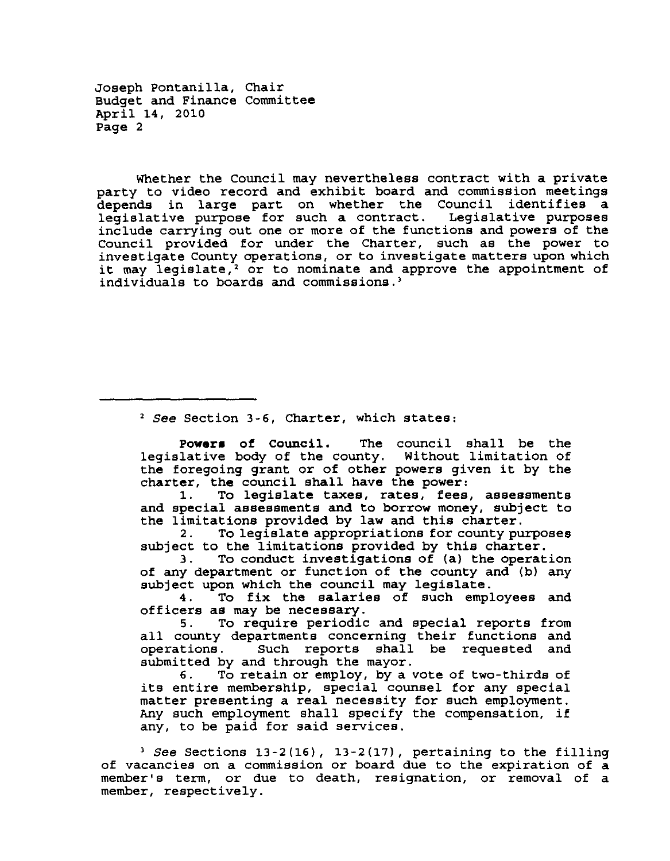Joseph Pontanilla, Chair Budget and Finance Committee April 14, 2010 Page 2

Whether the Council may nevertheless contract with a private party to video record and exhibit board and commission meetings depends in large part on whether the Council identifies a legislative purpose for such a contract. Legislative purposes include carrying out one or more of the functions and powers of the Council provided for under the Charter, such as the power to investigate County operations, or to investigate matters upon which it may legislate,<sup>2</sup> or to nominate and approve the appointment of individuals to boards and commissions.'

*, See* Section 3-6, Charter, which states:

Powers of Council. The council shall be the legislative body of the county. Without limitation of the foregoing grant or of other powers given it by the charter, the council shall have the power:

1. To legislate taxes, rates, fees, assessments and special assessments and to borrow money, subject to the limitations provided by law and this charter.<br>2. To legislate appropriations for county pu

To legislate appropriations for county purposes subject to the limitations provided by this charter.<br>3. To conduct investigations of (a) the operat

To conduct investigations of (a) the operation of any department or function of the county and (b) any subject upon which the council may legislate.

4. To fix the salaries of such employees and officers as may be necessary.

5. To require periodic and special reports from all county departments concerning their functions and operations. Such reports shall be requested and Such reports shall be requested and submitted by and through the mayor.

6. To retain or employ, by a vote of two-thirds of its entire membership, special counsel for any special matter presenting a real necessity for such employment. Any such employment shall specify the compensation, if any, to be paid for said services.

<sup>3</sup> See Sections 13-2(16), 13-2(17), pertaining to the filling of vacancies on a commission or board due to the expiration of a member's term, or due to death, resignation, or removal of a member, respectively.